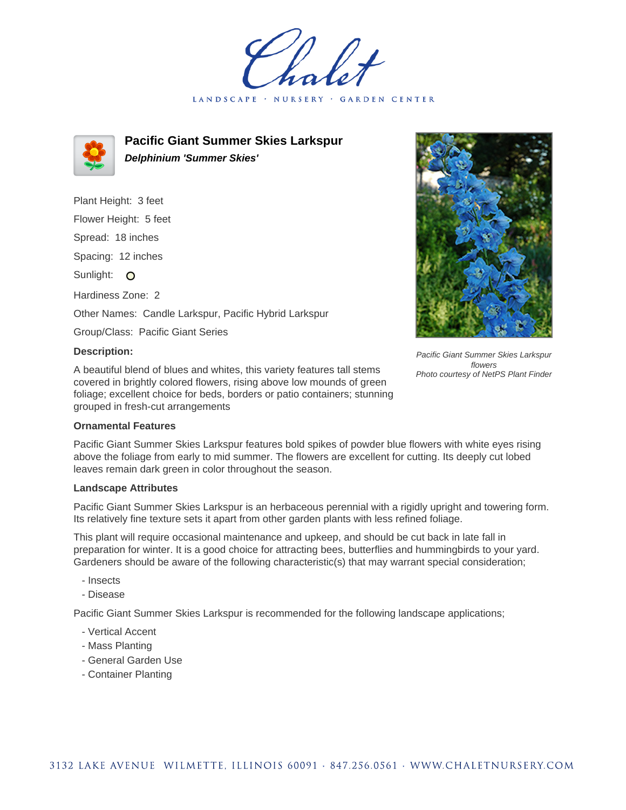LANDSCAPE · NURSERY **GARDEN CENTER** 



**Pacific Giant Summer Skies Larkspur Delphinium 'Summer Skies'**

Plant Height: 3 feet Flower Height: 5 feet Spread: 18 inches Spacing: 12 inches Sunlight: O Hardiness Zone: 2 Other Names: Candle Larkspur, Pacific Hybrid Larkspur Group/Class: Pacific Giant Series



## **Description:**

A beautiful blend of blues and whites, this variety features tall stems covered in brightly colored flowers, rising above low mounds of green foliage; excellent choice for beds, borders or patio containers; stunning grouped in fresh-cut arrangements

## **Ornamental Features**

Pacific Giant Summer Skies Larkspur features bold spikes of powder blue flowers with white eyes rising above the foliage from early to mid summer. The flowers are excellent for cutting. Its deeply cut lobed leaves remain dark green in color throughout the season.

## **Landscape Attributes**

Pacific Giant Summer Skies Larkspur is an herbaceous perennial with a rigidly upright and towering form. Its relatively fine texture sets it apart from other garden plants with less refined foliage.

This plant will require occasional maintenance and upkeep, and should be cut back in late fall in preparation for winter. It is a good choice for attracting bees, butterflies and hummingbirds to your yard. Gardeners should be aware of the following characteristic(s) that may warrant special consideration;

- Insects
- Disease

Pacific Giant Summer Skies Larkspur is recommended for the following landscape applications;

- Vertical Accent
- Mass Planting
- General Garden Use
- Container Planting

Pacific Giant Summer Skies Larkspur flowers Photo courtesy of NetPS Plant Finder